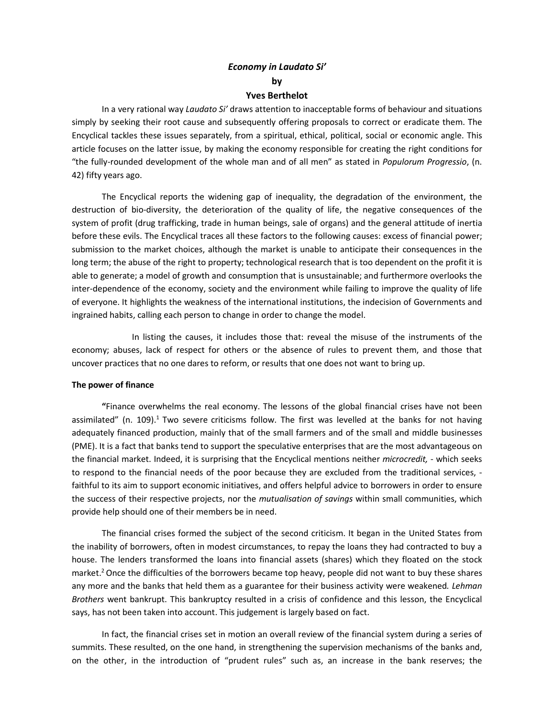# *Economy in Laudato Si'* **by**

## **Yves Berthelot**

In a very rational way *Laudato Si'* draws attention to inacceptable forms of behaviour and situations simply by seeking their root cause and subsequently offering proposals to correct or eradicate them. The Encyclical tackles these issues separately, from a spiritual, ethical, political, social or economic angle. This article focuses on the latter issue, by making the economy responsible for creating the right conditions for "the fully-rounded development of the whole man and of all men" as stated in *Populorum Progressio*, (n. 42) fifty years ago.

The Encyclical reports the widening gap of inequality, the degradation of the environment, the destruction of bio-diversity, the deterioration of the quality of life, the negative consequences of the system of profit (drug trafficking, trade in human beings, sale of organs) and the general attitude of inertia before these evils. The Encyclical traces all these factors to the following causes: excess of financial power; submission to the market choices, although the market is unable to anticipate their consequences in the long term; the abuse of the right to property; technological research that is too dependent on the profit it is able to generate; a model of growth and consumption that is unsustainable; and furthermore overlooks the inter-dependence of the economy, society and the environment while failing to improve the quality of life of everyone. It highlights the weakness of the international institutions, the indecision of Governments and ingrained habits, calling each person to change in order to change the model.

In listing the causes, it includes those that: reveal the misuse of the instruments of the economy; abuses, lack of respect for others or the absence of rules to prevent them, and those that uncover practices that no one dares to reform, or results that one does not want to bring up.

### **The power of finance**

**"**Finance overwhelms the real economy. The lessons of the global financial crises have not been assimilated" (n. 109).<sup>1</sup> Two severe criticisms follow. The first was levelled at the banks for not having adequately financed production, mainly that of the small farmers and of the small and middle businesses (PME). It is a fact that banks tend to support the speculative enterprises that are the most advantageous on the financial market. Indeed, it is surprising that the Encyclical mentions neither *microcredit,* - which seeks to respond to the financial needs of the poor because they are excluded from the traditional services, faithful to its aim to support economic initiatives, and offers helpful advice to borrowers in order to ensure the success of their respective projects, nor the *mutualisation of savings* within small communities, which provide help should one of their members be in need.

The financial crises formed the subject of the second criticism. It began in the United States from the inability of borrowers, often in modest circumstances, to repay the loans they had contracted to buy a house. The lenders transformed the loans into financial assets (shares) which they floated on the stock market.<sup>2</sup> Once the difficulties of the borrowers became top heavy, people did not want to buy these shares any more and the banks that held them as a guarantee for their business activity were weakened*. Lehman Brothers* went bankrupt. This bankruptcy resulted in a crisis of confidence and this lesson, the Encyclical says, has not been taken into account. This judgement is largely based on fact.

In fact, the financial crises set in motion an overall review of the financial system during a series of summits. These resulted, on the one hand, in strengthening the supervision mechanisms of the banks and, on the other, in the introduction of "prudent rules" such as, an increase in the bank reserves; the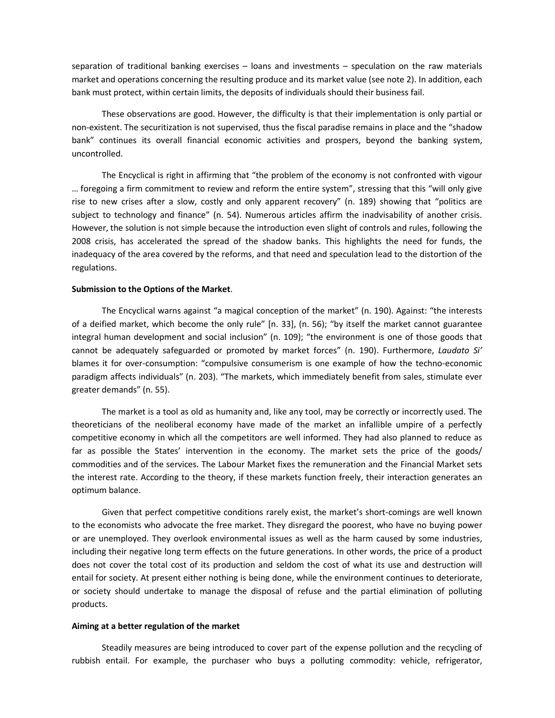separation of traditional banking exercises – loans and investments – speculation on the raw materials market and operations concerning the resulting produce and its market value (see note 2). In addition, each bank must protect, within certain limits, the deposits of individuals should their business fail.

These observations are good. However, the difficulty is that their implementation is only partial or non-existent. The securitization is not supervised, thus the fiscal paradise remains in place and the "shadow bank" continues its overall financial economic activities and prospers, beyond the banking system, uncontrolled.

The Encyclical is right in affirming that "the problem of the economy is not confronted with vigour … foregoing a firm commitment to review and reform the entire system", stressing that this "will only give rise to new crises after a slow, costly and only apparent recovery" (n. 189) showing that "politics are subject to technology and finance" (n. 54). Numerous articles affirm the inadvisability of another crisis. However, the solution is not simple because the introduction even slight of controls and rules, following the 2008 crisis, has accelerated the spread of the shadow banks. This highlights the need for funds, the inadequacy of the area covered by the reforms, and that need and speculation lead to the distortion of the regulations.

#### **Submission to the Options of the Market**.

The Encyclical warns against "a magical conception of the market" (n. 190). Against: "the interests of a deified market, which become the only rule" [n. 33], (n. 56); "by itself the market cannot guarantee integral human development and social inclusion" (n. 109); "the environment is one of those goods that cannot be adequately safeguarded or promoted by market forces" (n. 190). Furthermore, *Laudato Si'* blames it for over-consumption: "compulsive consumerism is one example of how the techno-economic paradigm affects individuals" (n. 203). "The markets, which immediately benefit from sales, stimulate ever greater demands" (n. 55).

The market is a tool as old as humanity and, like any tool, may be correctly or incorrectly used. The theoreticians of the neoliberal economy have made of the market an infallible umpire of a perfectly competitive economy in which all the competitors are well informed. They had also planned to reduce as far as possible the States' intervention in the economy. The market sets the price of the goods/ commodities and of the services. The Labour Market fixes the remuneration and the Financial Market sets the interest rate. According to the theory, if these markets function freely, their interaction generates an optimum balance.

Given that perfect competitive conditions rarely exist, the market's short-comings are well known to the economists who advocate the free market. They disregard the poorest, who have no buying power or are unemployed. They overlook environmental issues as well as the harm caused by some industries, including their negative long term effects on the future generations. In other words, the price of a product does not cover the total cost of its production and seldom the cost of what its use and destruction will entail for society. At present either nothing is being done, while the environment continues to deteriorate, or society should undertake to manage the disposal of refuse and the partial elimination of polluting products.

#### **Aiming at a better regulation of the market**

Steadily measures are being introduced to cover part of the expense pollution and the recycling of rubbish entail. For example, the purchaser who buys a polluting commodity: vehicle, refrigerator,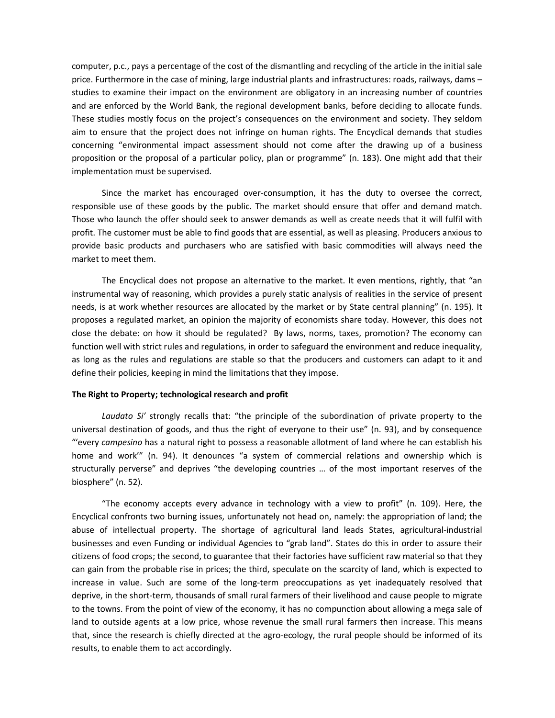computer, p.c., pays a percentage of the cost of the dismantling and recycling of the article in the initial sale price. Furthermore in the case of mining, large industrial plants and infrastructures: roads, railways, dams – studies to examine their impact on the environment are obligatory in an increasing number of countries and are enforced by the World Bank, the regional development banks, before deciding to allocate funds. These studies mostly focus on the project's consequences on the environment and society. They seldom aim to ensure that the project does not infringe on human rights. The Encyclical demands that studies concerning "environmental impact assessment should not come after the drawing up of a business proposition or the proposal of a particular policy, plan or programme" (n. 183). One might add that their implementation must be supervised.

Since the market has encouraged over-consumption, it has the duty to oversee the correct, responsible use of these goods by the public. The market should ensure that offer and demand match. Those who launch the offer should seek to answer demands as well as create needs that it will fulfil with profit. The customer must be able to find goods that are essential, as well as pleasing. Producers anxious to provide basic products and purchasers who are satisfied with basic commodities will always need the market to meet them.

The Encyclical does not propose an alternative to the market. It even mentions, rightly, that "an instrumental way of reasoning, which provides a purely static analysis of realities in the service of present needs, is at work whether resources are allocated by the market or by State central planning" (n. 195). It proposes a regulated market, an opinion the majority of economists share today. However, this does not close the debate: on how it should be regulated? By laws, norms, taxes, promotion? The economy can function well with strict rules and regulations, in order to safeguard the environment and reduce inequality, as long as the rules and regulations are stable so that the producers and customers can adapt to it and define their policies, keeping in mind the limitations that they impose.

### **The Right to Property; technological research and profit**

*Laudato Si'* strongly recalls that: "the principle of the subordination of private property to the universal destination of goods, and thus the right of everyone to their use" (n. 93), and by consequence "'every *campesino* has a natural right to possess a reasonable allotment of land where he can establish his home and work'" (n. 94). It denounces "a system of commercial relations and ownership which is structurally perverse" and deprives "the developing countries … of the most important reserves of the biosphere" (n. 52).

"The economy accepts every advance in technology with a view to profit" (n. 109). Here, the Encyclical confronts two burning issues, unfortunately not head on, namely: the appropriation of land; the abuse of intellectual property. The shortage of agricultural land leads States, agricultural-industrial businesses and even Funding or individual Agencies to "grab land". States do this in order to assure their citizens of food crops; the second, to guarantee that their factories have sufficient raw material so that they can gain from the probable rise in prices; the third, speculate on the scarcity of land, which is expected to increase in value. Such are some of the long-term preoccupations as yet inadequately resolved that deprive, in the short-term, thousands of small rural farmers of their livelihood and cause people to migrate to the towns. From the point of view of the economy, it has no compunction about allowing a mega sale of land to outside agents at a low price, whose revenue the small rural farmers then increase. This means that, since the research is chiefly directed at the agro-ecology, the rural people should be informed of its results, to enable them to act accordingly.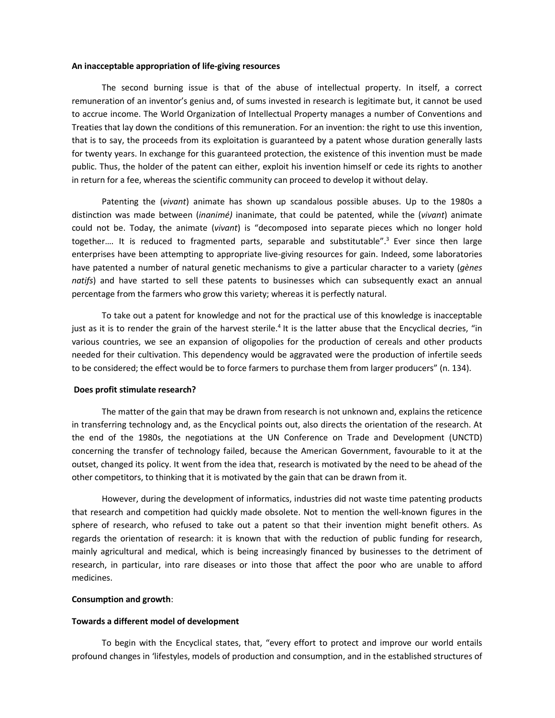#### **An inacceptable appropriation of life-giving resources**

The second burning issue is that of the abuse of intellectual property. In itself, a correct remuneration of an inventor's genius and, of sums invested in research is legitimate but, it cannot be used to accrue income. The World Organization of Intellectual Property manages a number of Conventions and Treaties that lay down the conditions of this remuneration. For an invention: the right to use this invention, that is to say, the proceeds from its exploitation is guaranteed by a patent whose duration generally lasts for twenty years. In exchange for this guaranteed protection, the existence of this invention must be made public. Thus, the holder of the patent can either, exploit his invention himself or cede its rights to another in return for a fee, whereas the scientific community can proceed to develop it without delay.

Patenting the (*vivant*) animate has shown up scandalous possible abuses. Up to the 1980s a distinction was made between (*inanimé)* inanimate, that could be patented, while the (*vivant*) animate could not be. Today, the animate (*vivant*) is "decomposed into separate pieces which no longer hold together.... It is reduced to fragmented parts, separable and substitutable".<sup>3</sup> Ever since then large enterprises have been attempting to appropriate live-giving resources for gain. Indeed, some laboratories have patented a number of natural genetic mechanisms to give a particular character to a variety (*gènes natifs*) and have started to sell these patents to businesses which can subsequently exact an annual percentage from the farmers who grow this variety; whereas it is perfectly natural.

To take out a patent for knowledge and not for the practical use of this knowledge is inacceptable just as it is to render the grain of the harvest sterile.<sup>4</sup> It is the latter abuse that the Encyclical decries, "in various countries, we see an expansion of oligopolies for the production of cereals and other products needed for their cultivation. This dependency would be aggravated were the production of infertile seeds to be considered; the effect would be to force farmers to purchase them from larger producers" (n. 134).

#### **Does profit stimulate research?**

The matter of the gain that may be drawn from research is not unknown and, explains the reticence in transferring technology and, as the Encyclical points out, also directs the orientation of the research. At the end of the 1980s, the negotiations at the UN Conference on Trade and Development (UNCTD) concerning the transfer of technology failed, because the American Government, favourable to it at the outset, changed its policy. It went from the idea that, research is motivated by the need to be ahead of the other competitors, to thinking that it is motivated by the gain that can be drawn from it.

However, during the development of informatics, industries did not waste time patenting products that research and competition had quickly made obsolete. Not to mention the well-known figures in the sphere of research, who refused to take out a patent so that their invention might benefit others. As regards the orientation of research: it is known that with the reduction of public funding for research, mainly agricultural and medical, which is being increasingly financed by businesses to the detriment of research, in particular, into rare diseases or into those that affect the poor who are unable to afford medicines.

### **Consumption and growth**:

#### **Towards a different model of development**

To begin with the Encyclical states, that, "every effort to protect and improve our world entails profound changes in 'lifestyles, models of production and consumption, and in the established structures of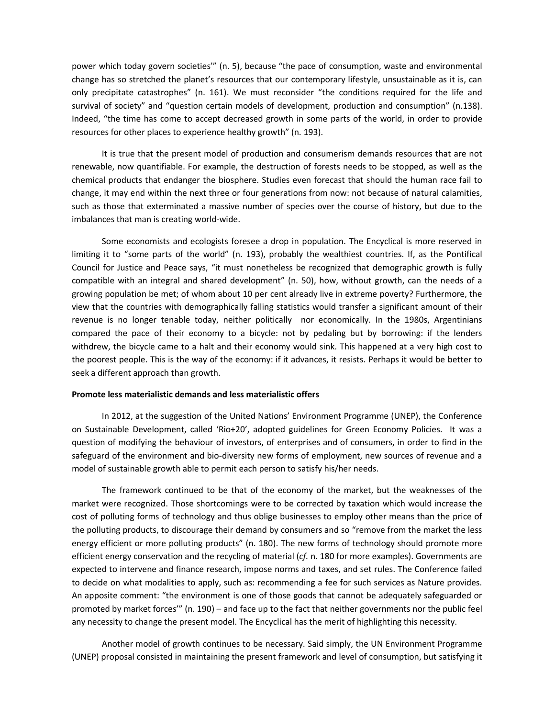power which today govern societies'" (n. 5), because "the pace of consumption, waste and environmental change has so stretched the planet's resources that our contemporary lifestyle, unsustainable as it is, can only precipitate catastrophes" (n. 161). We must reconsider "the conditions required for the life and survival of society" and "question certain models of development, production and consumption" (n.138). Indeed, "the time has come to accept decreased growth in some parts of the world, in order to provide resources for other places to experience healthy growth" (n. 193).

It is true that the present model of production and consumerism demands resources that are not renewable, now quantifiable. For example, the destruction of forests needs to be stopped, as well as the chemical products that endanger the biosphere. Studies even forecast that should the human race fail to change, it may end within the next three or four generations from now: not because of natural calamities, such as those that exterminated a massive number of species over the course of history, but due to the imbalances that man is creating world-wide.

Some economists and ecologists foresee a drop in population. The Encyclical is more reserved in limiting it to "some parts of the world" (n. 193), probably the wealthiest countries. If, as the Pontifical Council for Justice and Peace says, "it must nonetheless be recognized that demographic growth is fully compatible with an integral and shared development" (n. 50), how, without growth, can the needs of a growing population be met; of whom about 10 per cent already live in extreme poverty? Furthermore, the view that the countries with demographically falling statistics would transfer a significant amount of their revenue is no longer tenable today, neither politically nor economically. In the 1980s, Argentinians compared the pace of their economy to a bicycle: not by pedaling but by borrowing: if the lenders withdrew, the bicycle came to a halt and their economy would sink. This happened at a very high cost to the poorest people. This is the way of the economy: if it advances, it resists. Perhaps it would be better to seek a different approach than growth.

#### **Promote less materialistic demands and less materialistic offers**

In 2012, at the suggestion of the United Nations' Environment Programme (UNEP), the Conference on Sustainable Development, called 'Rio+20', adopted guidelines for Green Economy Policies. It was a question of modifying the behaviour of investors, of enterprises and of consumers, in order to find in the safeguard of the environment and bio-diversity new forms of employment, new sources of revenue and a model of sustainable growth able to permit each person to satisfy his/her needs.

The framework continued to be that of the economy of the market, but the weaknesses of the market were recognized. Those shortcomings were to be corrected by taxation which would increase the cost of polluting forms of technology and thus oblige businesses to employ other means than the price of the polluting products, to discourage their demand by consumers and so "remove from the market the less energy efficient or more polluting products" (n. 180). The new forms of technology should promote more efficient energy conservation and the recycling of material (*cf.* n. 180 for more examples). Governments are expected to intervene and finance research, impose norms and taxes, and set rules. The Conference failed to decide on what modalities to apply, such as: recommending a fee for such services as Nature provides. An apposite comment: "the environment is one of those goods that cannot be adequately safeguarded or promoted by market forces'" (n. 190) – and face up to the fact that neither governments nor the public feel any necessity to change the present model. The Encyclical has the merit of highlighting this necessity.

Another model of growth continues to be necessary. Said simply, the UN Environment Programme (UNEP) proposal consisted in maintaining the present framework and level of consumption, but satisfying it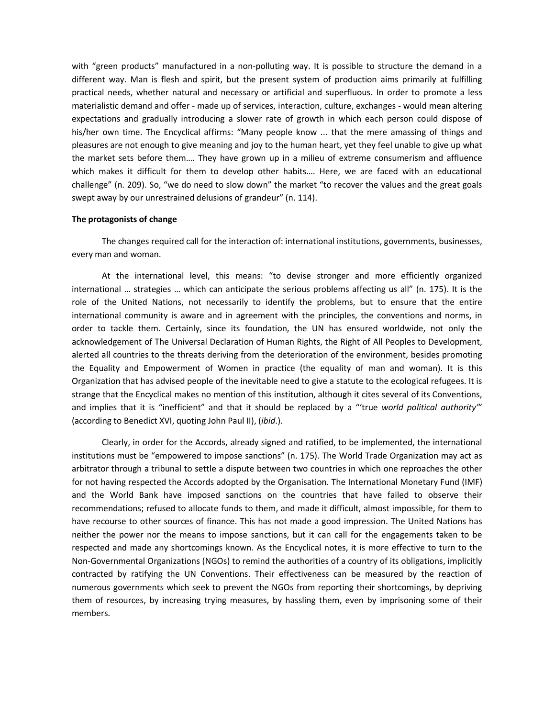with "green products" manufactured in a non-polluting way. It is possible to structure the demand in a different way. Man is flesh and spirit, but the present system of production aims primarily at fulfilling practical needs, whether natural and necessary or artificial and superfluous. In order to promote a less materialistic demand and offer - made up of services, interaction, culture, exchanges - would mean altering expectations and gradually introducing a slower rate of growth in which each person could dispose of his/her own time. The Encyclical affirms: "Many people know ... that the mere amassing of things and pleasures are not enough to give meaning and joy to the human heart, yet they feel unable to give up what the market sets before them…. They have grown up in a milieu of extreme consumerism and affluence which makes it difficult for them to develop other habits…. Here, we are faced with an educational challenge" (n. 209). So, "we do need to slow down" the market "to recover the values and the great goals swept away by our unrestrained delusions of grandeur" (n. 114).

### **The protagonists of change**

The changes required call for the interaction of: international institutions, governments, businesses, every man and woman.

At the international level, this means: "to devise stronger and more efficiently organized international … strategies … which can anticipate the serious problems affecting us all" (n. 175). It is the role of the United Nations, not necessarily to identify the problems, but to ensure that the entire international community is aware and in agreement with the principles, the conventions and norms, in order to tackle them. Certainly, since its foundation, the UN has ensured worldwide, not only the acknowledgement of The Universal Declaration of Human Rights, the Right of All Peoples to Development, alerted all countries to the threats deriving from the deterioration of the environment, besides promoting the Equality and Empowerment of Women in practice (the equality of man and woman). It is this Organization that has advised people of the inevitable need to give a statute to the ecological refugees. It is strange that the Encyclical makes no mention of this institution, although it cites several of its Conventions, and implies that it is "inefficient" and that it should be replaced by a "'true *world political authority'*" (according to Benedict XVI, quoting John Paul II), (*ibid*.).

Clearly, in order for the Accords, already signed and ratified, to be implemented, the international institutions must be "empowered to impose sanctions" (n. 175). The World Trade Organization may act as arbitrator through a tribunal to settle a dispute between two countries in which one reproaches the other for not having respected the Accords adopted by the Organisation. The International Monetary Fund (IMF) and the World Bank have imposed sanctions on the countries that have failed to observe their recommendations; refused to allocate funds to them, and made it difficult, almost impossible, for them to have recourse to other sources of finance. This has not made a good impression. The United Nations has neither the power nor the means to impose sanctions, but it can call for the engagements taken to be respected and made any shortcomings known. As the Encyclical notes, it is more effective to turn to the Non-Governmental Organizations (NGOs) to remind the authorities of a country of its obligations, implicitly contracted by ratifying the UN Conventions. Their effectiveness can be measured by the reaction of numerous governments which seek to prevent the NGOs from reporting their shortcomings, by depriving them of resources, by increasing trying measures, by hassling them, even by imprisoning some of their members.